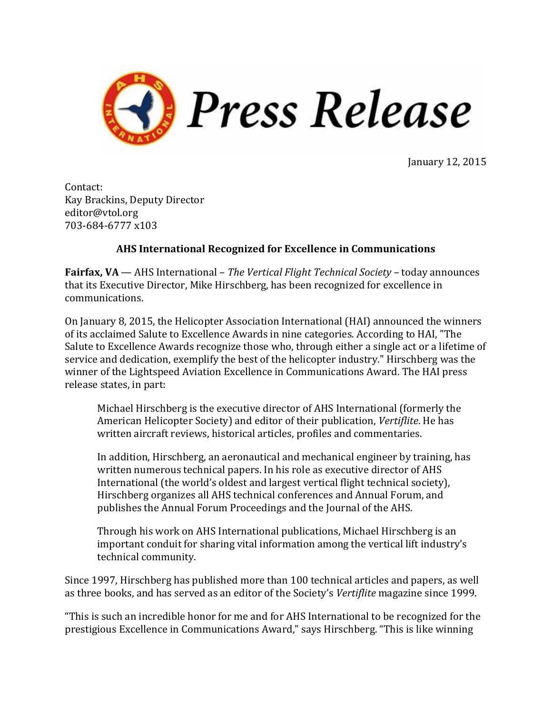

January 12, 2015

Contact: Kay Brackins, Deputy Director editor@vtol.org 703-684-6777 x103

## **AHS International Recognized for Excellence in Communications**

**Fairfax, VA** — AHS International – *The Vertical Flight Technical Society –* today announces that its Executive Director, Mike Hirschberg, has been recognized for excellence in communications.

On January 8, 2015, the Helicopter Association International (HAI) announced the winners of its acclaimed Salute to Excellence Awards in nine categories. According to HAI, "The Salute to Excellence Awards recognize those who, through either a single act or a lifetime of service and dedication, exemplify the best of the helicopter industry." Hirschberg was the winner of the Lightspeed Aviation Excellence in Communications Award. The HAI press release states, in part:

Michael Hirschberg is the executive director of AHS International (formerly the American Helicopter Society) and editor of their publication, *Vertiflite*. He has written aircraft reviews, historical articles, profiles and commentaries.

In addition, Hirschberg, an aeronautical and mechanical engineer by training, has written numerous technical papers. In his role as executive director of AHS International (the world's oldest and largest vertical flight technical society), Hirschberg organizes all AHS technical conferences and Annual Forum, and publishes the Annual Forum Proceedings and the Journal of the AHS.

Through his work on AHS International publications, Michael Hirschberg is an important conduit for sharing vital information among the vertical lift industry's technical community.

Since 1997, Hirschberg has published more than 100 technical articles and papers, as well as three books, and has served as an editor of the Society's *Vertiflite* magazine since 1999.

"This is such an incredible honor for me and for AHS International to be recognized for the prestigious Excellence in Communications Award," says Hirschberg. "This is like winning